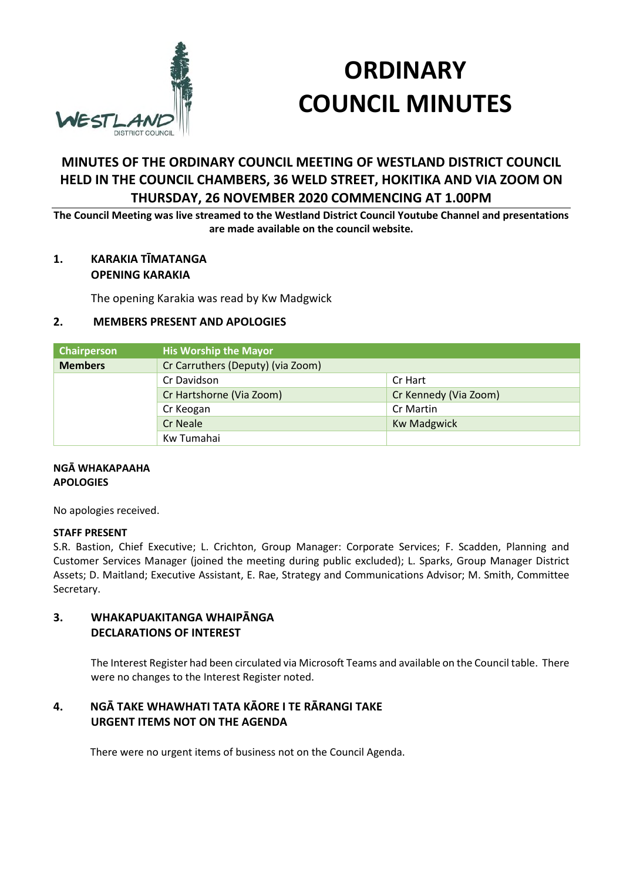

# **ORDINARY COUNCIL MINUTES**

## **MINUTES OF THE ORDINARY COUNCIL MEETING OF WESTLAND DISTRICT COUNCIL HELD IN THE COUNCIL CHAMBERS, 36 WELD STREET, HOKITIKA AND VIA ZOOM ON THURSDAY, 26 NOVEMBER 2020 COMMENCING AT 1.00PM**

**The Council Meeting was live streamed to the Westland District Council Youtube Channel and presentations are made available on the council website.** 

#### **1. KARAKIA TĪMATANGA OPENING KARAKIA**

The opening Karakia was read by Kw Madgwick

## **2. MEMBERS PRESENT AND APOLOGIES**

| Chairperson    | <b>His Worship the Mayor</b>      |                       |
|----------------|-----------------------------------|-----------------------|
| <b>Members</b> | Cr Carruthers (Deputy) (via Zoom) |                       |
|                | Cr Davidson                       | Cr Hart               |
|                | Cr Hartshorne (Via Zoom)          | Cr Kennedy (Via Zoom) |
|                | Cr Keogan                         | Cr Martin             |
|                | Cr Neale                          | <b>Kw Madgwick</b>    |
|                | Kw Tumahai                        |                       |

## **NGĀ WHAKAPAAHA APOLOGIES**

No apologies received.

#### **STAFF PRESENT**

S.R. Bastion, Chief Executive; L. Crichton, Group Manager: Corporate Services; F. Scadden, Planning and Customer Services Manager (joined the meeting during public excluded); L. Sparks, Group Manager District Assets; D. Maitland; Executive Assistant, E. Rae, Strategy and Communications Advisor; M. Smith, Committee Secretary.

## **3. WHAKAPUAKITANGA WHAIPĀNGA DECLARATIONS OF INTEREST**

The Interest Register had been circulated via Microsoft Teams and available on the Council table. There were no changes to the Interest Register noted.

## **4. NGĀ TAKE WHAWHATI TATA KĀORE I TE RĀRANGI TAKE URGENT ITEMS NOT ON THE AGENDA**

There were no urgent items of business not on the Council Agenda.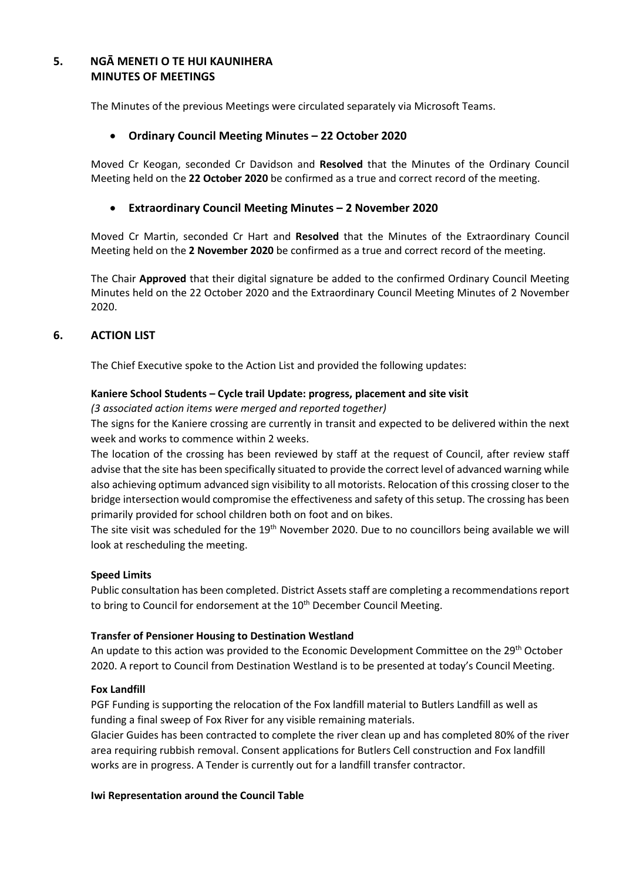## **5. NGĀ MENETI O TE HUI KAUNIHERA MINUTES OF MEETINGS**

The Minutes of the previous Meetings were circulated separately via Microsoft Teams.

## **Ordinary Council Meeting Minutes – 22 October 2020**

Moved Cr Keogan, seconded Cr Davidson and **Resolved** that the Minutes of the Ordinary Council Meeting held on the **22 October 2020** be confirmed as a true and correct record of the meeting.

#### **Extraordinary Council Meeting Minutes – 2 November 2020**

Moved Cr Martin, seconded Cr Hart and **Resolved** that the Minutes of the Extraordinary Council Meeting held on the **2 November 2020** be confirmed as a true and correct record of the meeting.

The Chair **Approved** that their digital signature be added to the confirmed Ordinary Council Meeting Minutes held on the 22 October 2020 and the Extraordinary Council Meeting Minutes of 2 November 2020.

## **6. ACTION LIST**

The Chief Executive spoke to the Action List and provided the following updates:

#### **Kaniere School Students – Cycle trail Update: progress, placement and site visit**

*(3 associated action items were merged and reported together)* 

The signs for the Kaniere crossing are currently in transit and expected to be delivered within the next week and works to commence within 2 weeks.

The location of the crossing has been reviewed by staff at the request of Council, after review staff advise that the site has been specifically situated to provide the correct level of advanced warning while also achieving optimum advanced sign visibility to all motorists. Relocation of this crossing closer to the bridge intersection would compromise the effectiveness and safety of this setup. The crossing has been primarily provided for school children both on foot and on bikes.

The site visit was scheduled for the 19<sup>th</sup> November 2020. Due to no councillors being available we will look at rescheduling the meeting.

#### **Speed Limits**

Public consultation has been completed. District Assets staff are completing a recommendations report to bring to Council for endorsement at the 10<sup>th</sup> December Council Meeting.

#### **Transfer of Pensioner Housing to Destination Westland**

An update to this action was provided to the Economic Development Committee on the  $29<sup>th</sup>$  October 2020. A report to Council from Destination Westland is to be presented at today's Council Meeting.

#### **Fox Landfill**

PGF Funding is supporting the relocation of the Fox landfill material to Butlers Landfill as well as funding a final sweep of Fox River for any visible remaining materials.

Glacier Guides has been contracted to complete the river clean up and has completed 80% of the river area requiring rubbish removal. Consent applications for Butlers Cell construction and Fox landfill works are in progress. A Tender is currently out for a landfill transfer contractor.

#### **Iwi Representation around the Council Table**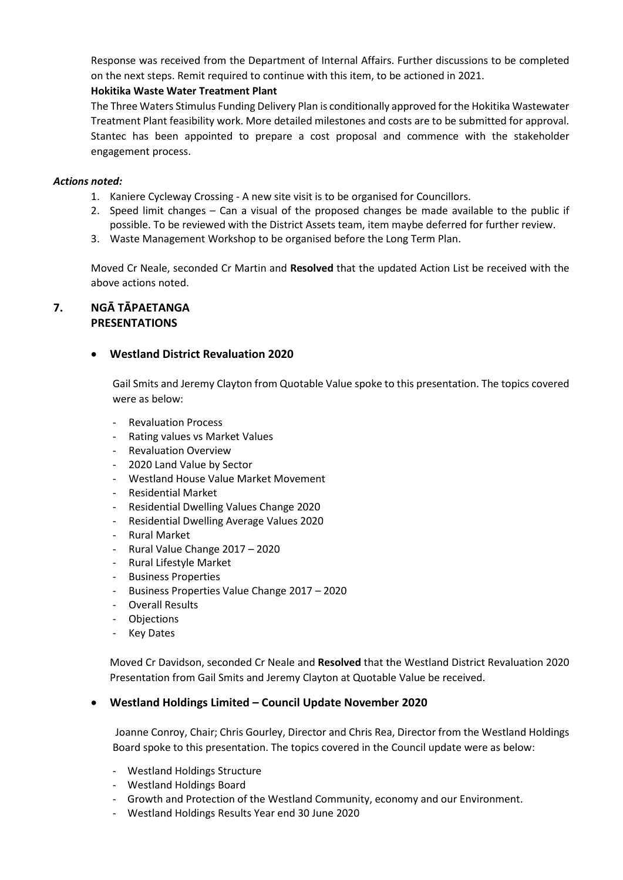Response was received from the Department of Internal Affairs. Further discussions to be completed on the next steps. Remit required to continue with this item, to be actioned in 2021.

## **Hokitika Waste Water Treatment Plant**

The Three Waters Stimulus Funding Delivery Plan is conditionally approved for the Hokitika Wastewater Treatment Plant feasibility work. More detailed milestones and costs are to be submitted for approval. Stantec has been appointed to prepare a cost proposal and commence with the stakeholder engagement process.

#### *Actions noted:*

- 1. Kaniere Cycleway Crossing A new site visit is to be organised for Councillors.
- 2. Speed limit changes Can a visual of the proposed changes be made available to the public if possible. To be reviewed with the District Assets team, item maybe deferred for further review.
- 3. Waste Management Workshop to be organised before the Long Term Plan.

Moved Cr Neale, seconded Cr Martin and **Resolved** that the updated Action List be received with the above actions noted.

## **7. NGĀ TĀPAETANGA PRESENTATIONS**

## **Westland District Revaluation 2020**

Gail Smits and Jeremy Clayton from Quotable Value spoke to this presentation. The topics covered were as below:

- Revaluation Process
- Rating values vs Market Values
- Revaluation Overview
- 2020 Land Value by Sector
- Westland House Value Market Movement
- Residential Market
- Residential Dwelling Values Change 2020
- Residential Dwelling Average Values 2020
- Rural Market
- Rural Value Change 2017 2020
- Rural Lifestyle Market
- Business Properties
- Business Properties Value Change 2017 2020
- Overall Results
- Objections
- Key Dates

Moved Cr Davidson, seconded Cr Neale and **Resolved** that the Westland District Revaluation 2020 Presentation from Gail Smits and Jeremy Clayton at Quotable Value be received.

## **Westland Holdings Limited – Council Update November 2020**

Joanne Conroy, Chair; Chris Gourley, Director and Chris Rea, Director from the Westland Holdings Board spoke to this presentation. The topics covered in the Council update were as below:

- Westland Holdings Structure
- Westland Holdings Board
- Growth and Protection of the Westland Community, economy and our Environment.
- Westland Holdings Results Year end 30 June 2020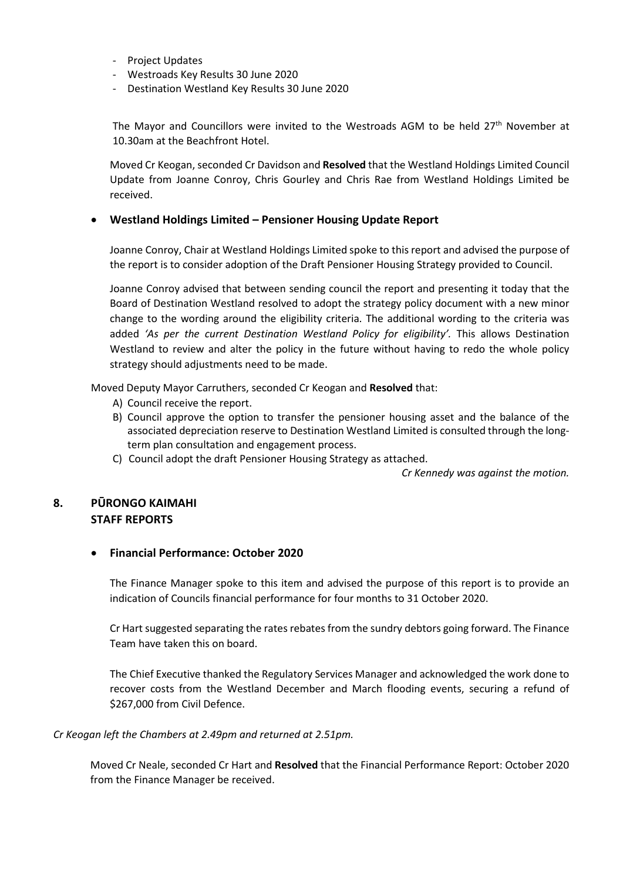- Project Updates
- Westroads Key Results 30 June 2020
- Destination Westland Key Results 30 June 2020

The Mayor and Councillors were invited to the Westroads AGM to be held 27<sup>th</sup> November at 10.30am at the Beachfront Hotel.

Moved Cr Keogan, seconded Cr Davidson and **Resolved** that the Westland Holdings Limited Council Update from Joanne Conroy, Chris Gourley and Chris Rae from Westland Holdings Limited be received.

#### **Westland Holdings Limited – Pensioner Housing Update Report**

Joanne Conroy, Chair at Westland Holdings Limited spoke to this report and advised the purpose of the report is to consider adoption of the Draft Pensioner Housing Strategy provided to Council.

Joanne Conroy advised that between sending council the report and presenting it today that the Board of Destination Westland resolved to adopt the strategy policy document with a new minor change to the wording around the eligibility criteria. The additional wording to the criteria was added 'As per the current Destination Westland Policy for eligibility'. This allows Destination Westland to review and alter the policy in the future without having to redo the whole policy strategy should adjustments need to be made.

Moved Deputy Mayor Carruthers, seconded Cr Keogan and **Resolved** that:

- A) Council receive the report.
- B) Council approve the option to transfer the pensioner housing asset and the balance of the associated depreciation reserve to Destination Westland Limited is consulted through the longterm plan consultation and engagement process.
- C) Council adopt the draft Pensioner Housing Strategy as attached.

*Cr Kennedy was against the motion.* 

## **8. PŪRONGO KAIMAHI STAFF REPORTS**

## **Financial Performance: October 2020**

The Finance Manager spoke to this item and advised the purpose of this report is to provide an indication of Councils financial performance for four months to 31 October 2020.

Cr Hart suggested separating the rates rebates from the sundry debtors going forward. The Finance Team have taken this on board.

The Chief Executive thanked the Regulatory Services Manager and acknowledged the work done to recover costs from the Westland December and March flooding events, securing a refund of \$267,000 from Civil Defence.

#### *Cr Keogan left the Chambers at 2.49pm and returned at 2.51pm.*

Moved Cr Neale, seconded Cr Hart and **Resolved** that the Financial Performance Report: October 2020 from the Finance Manager be received.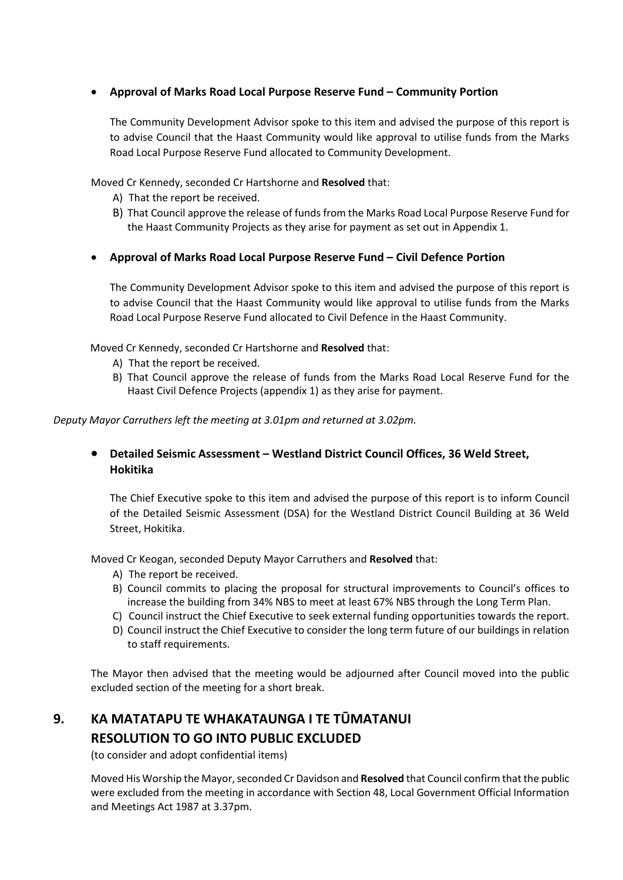## **Approval of Marks Road Local Purpose Reserve Fund – Community Portion**

The Community Development Advisor spoke to this item and advised the purpose of this report is to advise Council that the Haast Community would like approval to utilise funds from the Marks Road Local Purpose Reserve Fund allocated to Community Development.

Moved Cr Kennedy, seconded Cr Hartshorne and **Resolved** that:

- A) That the report be received.
- B) That Council approve the release of funds from the Marks Road Local Purpose Reserve Fund for the Haast Community Projects as they arise for payment as set out in Appendix 1.
- **Approval of Marks Road Local Purpose Reserve Fund Civil Defence Portion**

The Community Development Advisor spoke to this item and advised the purpose of this report is to advise Council that the Haast Community would like approval to utilise funds from the Marks Road Local Purpose Reserve Fund allocated to Civil Defence in the Haast Community.

Moved Cr Kennedy, seconded Cr Hartshorne and **Resolved** that:

- A) That the report be received.
- B) That Council approve the release of funds from the Marks Road Local Reserve Fund for the Haast Civil Defence Projects (appendix 1) as they arise for payment.

*Deputy Mayor Carruthers left the meeting at 3.01pm and returned at 3.02pm.* 

## **Detailed Seismic Assessment – Westland District Council Offices, 36 Weld Street, Hokitika**

The Chief Executive spoke to this item and advised the purpose of this report is to inform Council of the Detailed Seismic Assessment (DSA) for the Westland District Council Building at 36 Weld Street, Hokitika.

Moved Cr Keogan, seconded Deputy Mayor Carruthers and **Resolved** that:

- A) The report be received.
- B) Council commits to placing the proposal for structural improvements to Council's offices to increase the building from 34% NBS to meet at least 67% NBS through the Long Term Plan.
- C) Council instruct the Chief Executive to seek external funding opportunities towards the report.
- D) Council instruct the Chief Executive to consider the long term future of our buildings in relation to staff requirements.

The Mayor then advised that the meeting would be adjourned after Council moved into the public excluded section of the meeting for a short break.

# **9. KA MATATAPU TE WHAKATAUNGA I TE TŪMATANUI RESOLUTION TO GO INTO PUBLIC EXCLUDED**

(to consider and adopt confidential items)

 Moved His Worship the Mayor, seconded Cr Davidson and **Resolved** that Council confirm that the public were excluded from the meeting in accordance with Section 48, Local Government Official Information and Meetings Act 1987 at 3.37pm.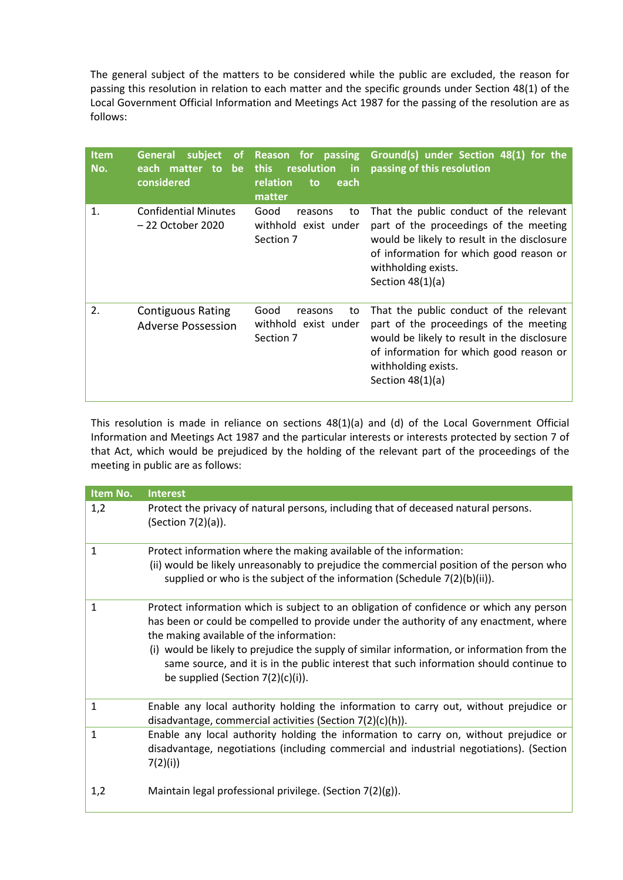The general subject of the matters to be considered while the public are excluded, the reason for passing this resolution in relation to each matter and the specific grounds under Section 48(1) of the Local Government Official Information and Meetings Act 1987 for the passing of the resolution are as follows:

| <b>Item</b><br>No. | subject<br><b>General</b><br>each matter to be<br>considered | resolution<br>this<br>$\mathsf{in}$<br>relation<br>each<br>to<br>matter | of Reason for passing Ground(s) under Section 48(1) for the<br>passing of this resolution                                                                                                                                |
|--------------------|--------------------------------------------------------------|-------------------------------------------------------------------------|--------------------------------------------------------------------------------------------------------------------------------------------------------------------------------------------------------------------------|
| 1.                 | <b>Confidential Minutes</b><br>– 22 October 2020             | Good<br>to<br>reasons<br>withhold exist under<br>Section 7              | That the public conduct of the relevant<br>part of the proceedings of the meeting<br>would be likely to result in the disclosure<br>of information for which good reason or<br>withholding exists.<br>Section $48(1)(a)$ |
| 2.                 | <b>Contiguous Rating</b><br><b>Adverse Possession</b>        | Good<br>to<br>reasons<br>withhold exist under<br>Section 7              | That the public conduct of the relevant<br>part of the proceedings of the meeting<br>would be likely to result in the disclosure<br>of information for which good reason or<br>withholding exists.<br>Section $48(1)(a)$ |

This resolution is made in reliance on sections 48(1)(a) and (d) of the Local Government Official Information and Meetings Act 1987 and the particular interests or interests protected by section 7 of that Act, which would be prejudiced by the holding of the relevant part of the proceedings of the meeting in public are as follows:

| Item No.     | <b>Interest</b>                                                                                                                                                                                                                                                                                                                                                                                                                                               |
|--------------|---------------------------------------------------------------------------------------------------------------------------------------------------------------------------------------------------------------------------------------------------------------------------------------------------------------------------------------------------------------------------------------------------------------------------------------------------------------|
| 1,2          | Protect the privacy of natural persons, including that of deceased natural persons.<br>(Section 7(2)(a)).                                                                                                                                                                                                                                                                                                                                                     |
| $\mathbf{1}$ | Protect information where the making available of the information:<br>(ii) would be likely unreasonably to prejudice the commercial position of the person who<br>supplied or who is the subject of the information (Schedule 7(2)(b)(ii)).                                                                                                                                                                                                                   |
| 1            | Protect information which is subject to an obligation of confidence or which any person<br>has been or could be compelled to provide under the authority of any enactment, where<br>the making available of the information:<br>(i) would be likely to prejudice the supply of similar information, or information from the<br>same source, and it is in the public interest that such information should continue to<br>be supplied (Section $7(2)(c)(i)$ ). |
| 1            | Enable any local authority holding the information to carry out, without prejudice or<br>disadvantage, commercial activities (Section 7(2)(c)(h)).                                                                                                                                                                                                                                                                                                            |
| $\mathbf{1}$ | Enable any local authority holding the information to carry on, without prejudice or<br>disadvantage, negotiations (including commercial and industrial negotiations). (Section<br>7(2)(i)                                                                                                                                                                                                                                                                    |
| 1,2          | Maintain legal professional privilege. (Section $7(2)(g)$ ).                                                                                                                                                                                                                                                                                                                                                                                                  |